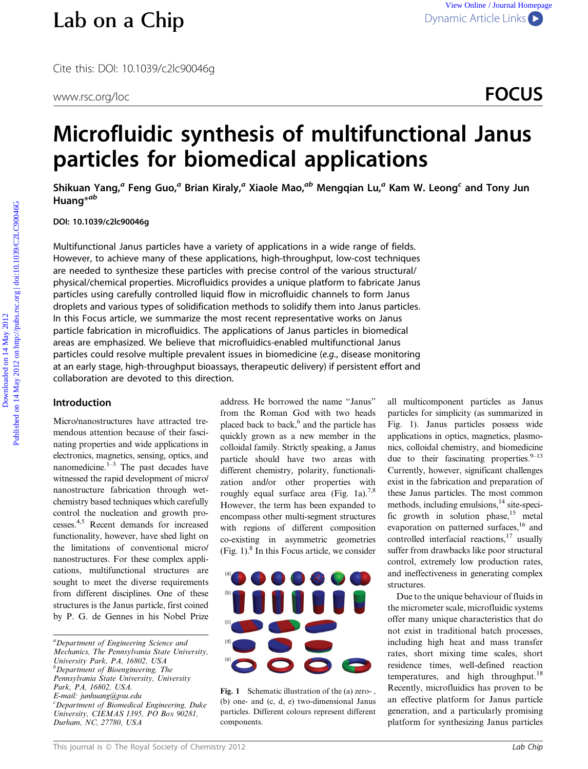# www.rsc.org/loc**terations and the experimental state of the experimental state of the experimental state**  $\blacksquare$

# Microfluidic synthesis of multifunctional Janus particles for biomedical applications

Shikuan Yang,<sup>a</sup> Feng Guo,<sup>a</sup> Brian Kiraly,<sup>a</sup> Xiaole Mao,<sup>ab</sup> Mengqian Lu,<sup>a</sup> Kam W. Leong<sup>c</sup> and Tony Jun Huang<sup>\*ab</sup>

DOI: 10.1039/c2lc90046g

Multifunctional Janus particles have a variety of applications in a wide range of fields. However, to achieve many of these applications, high-throughput, low-cost techniques are needed to synthesize these particles with precise control of the various structural/ physical/chemical properties. Microfluidics provides a unique platform to fabricate Janus particles using carefully controlled liquid flow in microfluidic channels to form Janus droplets and various types of solidification methods to solidify them into Janus particles. In this Focus article, we summarize the most recent representative works on Janus particle fabrication in microfluidics. The applications of Janus particles in biomedical areas are emphasized. We believe that microfluidics-enabled multifunctional Janus particles could resolve multiple prevalent issues in biomedicine (e.g., disease monitoring at an early stage, high-throughput bioassays, therapeutic delivery) if persistent effort and collaboration are devoted to this direction. Lab on a Chip<br>
City this DO: 10.1039/c2lc90046g<br>
www.sc.org/loc<br>
www.sc.org/loc<br>
www.sc.org/loc<br> **Microfluidic synthesis of multifunctional Janus<br>
Data may analy Feng Guo<sup>ng</sup> Brian Kiraly,<sup>e</sup> Xiaole Mao,<sup>ath</sup> Menggian Lu,** 

## Introduction

Micro/nanostructures have attracted tremendous attention because of their fascinating properties and wide applications in electronics, magnetics, sensing, optics, and nanomedicine. $1-3$  The past decades have witnessed the rapid development of micro/ nanostructure fabrication through wetchemistry based techniques which carefully control the nucleation and growth processes.4,5 Recent demands for increased functionality, however, have shed light on the limitations of conventional micro/ nanostructures. For these complex applications, multifunctional structures are sought to meet the diverse requirements from different disciplines. One of these structures is the Janus particle, first coined by P. G. de Gennes in his Nobel Prize address. He borrowed the name ''Janus'' from the Roman God with two heads placed back to back,<sup>6</sup> and the particle has quickly grown as a new member in the colloidal family. Strictly speaking, a Janus particle should have two areas with different chemistry, polarity, functionalization and/or other properties with roughly equal surface area (Fig. 1a).<sup>7,8</sup> However, the term has been expanded to encompass other multi-segment structures with regions of different composition co-existing in asymmetric geometries  $(Fig. 1)<sup>8</sup>$  In this Focus article, we consider



Fig. 1 Schematic illustration of the (a) zero- , (b) one- and (c, d, e) two-dimensional Janus particles. Different colours represent different components.

all multicomponent particles as Janus particles for simplicity (as summarized in Fig. 1). Janus particles possess wide applications in optics, magnetics, plasmonics, colloidal chemistry, and biomedicine due to their fascinating properties. $9-13$ Currently, however, significant challenges exist in the fabrication and preparation of these Janus particles. The most common methods, including emulsions, $^{14}$  site-specific growth in solution phase,  $15$  metal evaporation on patterned surfaces,<sup>16</sup> and controlled interfacial reactions, $17$  usually suffer from drawbacks like poor structural control, extremely low production rates, and ineffectiveness in generating complex structures.

Due to the unique behaviour of fluids in the micrometer scale, microfluidic systems offer many unique characteristics that do not exist in traditional batch processes, including high heat and mass transfer rates, short mixing time scales, short residence times, well-defined reaction temperatures, and high throughput.<sup>18</sup> Recently, microfluidics has proven to be an effective platform for Janus particle generation, and a particularly promising platform for synthesizing Janus particles

<sup>&</sup>lt;sup>a</sup>Department of Engineering Science and Mechanics, The Pennsylvania State University, University Park, PA, 16802, USA b Department of Bioengineering, The Pennsylvania State University, University Park, PA, 16802, USA. E-mail: junhuang@psu.edu  $c$ Department of Biomedical Engineering, Duke University, CIEMAS 1395, PO Box 90281, Durham, NC, 27780, USA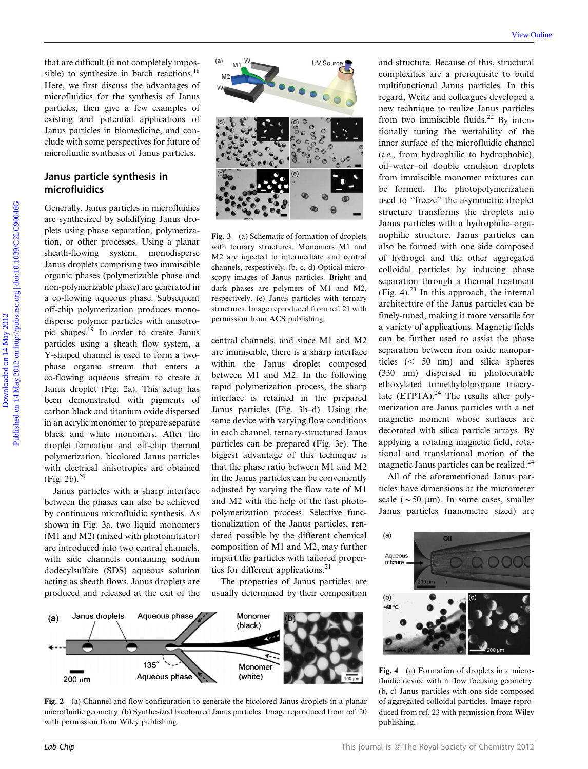that are difficult (if not completely impossible) to synthesize in batch reactions.<sup>18</sup> Here, we first discuss the advantages of microfluidics for the synthesis of Janus particles, then give a few examples of existing and potential applications of Janus particles in biomedicine, and conclude with some perspectives for future of microfluidic synthesis of Janus particles.

#### Janus particle synthesis in microfluidics

Generally, Janus particles in microfluidics are synthesized by solidifying Janus droplets using phase separation, polymerization, or other processes. Using a planar sheath-flowing system, monodisperse Janus droplets comprising two immiscible organic phases (polymerizable phase and non-polymerizable phase) are generated in a co-flowing aqueous phase. Subsequent off-chip polymerization produces monodisperse polymer particles with anisotropic shapes.19 In order to create Janus particles using a sheath flow system, a Y-shaped channel is used to form a twophase organic stream that enters a co-flowing aqueous stream to create a Janus droplet (Fig. 2a). This setup has been demonstrated with pigments of carbon black and titanium oxide dispersed in an acrylic monomer to prepare separate black and white monomers. After the droplet formation and off-chip thermal polymerization, bicolored Janus particles with electrical anisotropies are obtained  $(Fig. 2b).<sup>20</sup>$ 

Janus particles with a sharp interface between the phases can also be achieved by continuous microfluidic synthesis. As shown in Fig. 3a, two liquid monomers (M1 and M2) (mixed with photoinitiator) are introduced into two central channels, with side channels containing sodium dodecylsulfate (SDS) aqueous solution acting as sheath flows. Janus droplets are produced and released at the exit of the



Fig. 3 (a) Schematic of formation of droplets with ternary structures. Monomers M1 and M2 are injected in intermediate and central channels, respectively. (b, c, d) Optical microscopy images of Janus particles. Bright and dark phases are polymers of M1 and M2, respectively. (e) Janus particles with ternary structures. Image reproduced from ref. 21 with permission from ACS publishing.

central channels, and since M1 and M2 are immiscible, there is a sharp interface within the Janus droplet composed between M1 and M2. In the following rapid polymerization process, the sharp interface is retained in the prepared Janus particles (Fig. 3b–d). Using the same device with varying flow conditions in each channel, ternary-structured Janus particles can be prepared (Fig. 3e). The biggest advantage of this technique is that the phase ratio between M1 and M2 in the Janus particles can be conveniently adjusted by varying the flow rate of M1 and M2 with the help of the fast photopolymerization process. Selective functionalization of the Janus particles, rendered possible by the different chemical composition of M1 and M2, may further impart the particles with tailored properties for different applications.<sup>21</sup>

The properties of Janus particles are usually determined by their composition



Fig. 2 (a) Channel and flow configuration to generate the bicolored Janus droplets in a planar microfluidic geometry. (b) Synthesized bicoloured Janus particles. Image reproduced from ref. 20 with permission from Wiley publishing.

and structure. Because of this, structural complexities are a prerequisite to build multifunctional Janus particles. In this regard, Weitz and colleagues developed a new technique to realize Janus particles from two immiscible fluids.<sup>22</sup> By intentionally tuning the wettability of the inner surface of the microfluidic channel (i.e., from hydrophilic to hydrophobic), oil–water–oil double emulsion droplets from immiscible monomer mixtures can be formed. The photopolymerization used to ''freeze'' the asymmetric droplet structure transforms the droplets into Janus particles with a hydrophilic–organophilic structure. Janus particles can also be formed with one side composed of hydrogel and the other aggregated colloidal particles by inducing phase separation through a thermal treatment (Fig. 4). $^{23}$  In this approach, the internal architecture of the Janus particles can be finely-tuned, making it more versatile for a variety of applications. Magnetic fields can be further used to assist the phase separation between iron oxide nanoparticles  $( $50 \text{ nm}$ )$  and silica spheres (330 nm) dispersed in photocurable ethoxylated trimethylolpropane triacrylate  $(ETPTA).<sup>24</sup>$  The results after polymerization are Janus particles with a net magnetic moment whose surfaces are decorated with silica particle arrays. By applying a rotating magnetic field, rotational and translational motion of the magnetic Janus particles can be realized.<sup>24</sup> Download the complete in both results of the proposition of the system in the complete of the system of the system of the system of the system of the system of the system of the system of the system of the system of the s

> All of the aforementioned Janus particles have dimensions at the micrometer scale ( $\sim$  50 µm). In some cases, smaller Janus particles (nanometre sized) are



Fig. 4 (a) Formation of droplets in a microfluidic device with a flow focusing geometry. (b, c) Janus particles with one side composed of aggregated colloidal particles. Image reproduced from ref. 23 with permission from Wiley publishing.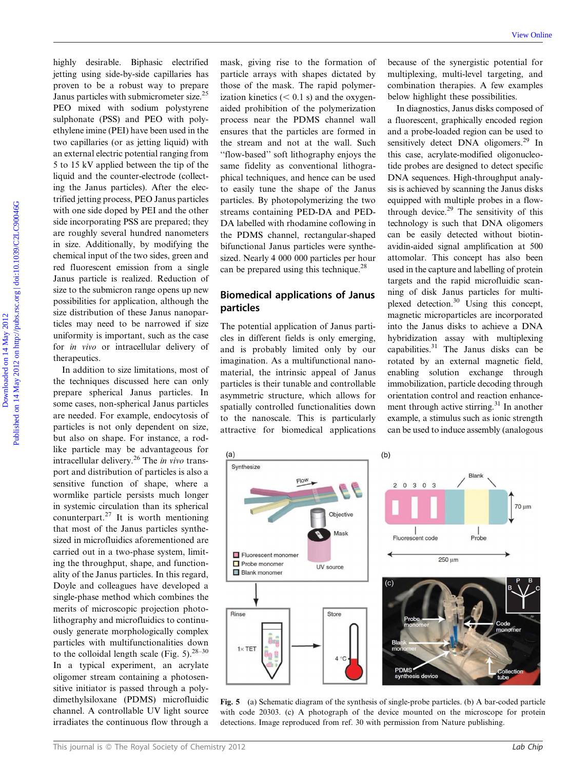highly desirable. Biphasic electrified jetting using side-by-side capillaries has proven to be a robust way to prepare Janus particles with submicrometer size.<sup>25</sup> PEO mixed with sodium polystyrene sulphonate (PSS) and PEO with polyethylene imine (PEI) have been used in the two capillaries (or as jetting liquid) with an external electric potential ranging from 5 to 15 kV applied between the tip of the liquid and the counter-electrode (collecting the Janus particles). After the electrified jetting process, PEO Janus particles with one side doped by PEI and the other side incorporating PSS are prepared; they are roughly several hundred nanometers in size. Additionally, by modifying the chemical input of the two sides, green and red fluorescent emission from a single Janus particle is realized. Reduction of size to the submicron range opens up new possibilities for application, although the size distribution of these Janus nanoparticles may need to be narrowed if size uniformity is important, such as the case for in vivo or intracellular delivery of therapeutics.

In addition to size limitations, most of the techniques discussed here can only prepare spherical Janus particles. In some cases, non-spherical Janus particles are needed. For example, endocytosis of particles is not only dependent on size, but also on shape. For instance, a rodlike particle may be advantageous for intracellular delivery.<sup>26</sup> The *in vivo* transport and distribution of particles is also a sensitive function of shape, where a wormlike particle persists much longer in systemic circulation than its spherical conunterpart.<sup>27</sup> It is worth mentioning that most of the Janus particles synthesized in microfluidics aforementioned are carried out in a two-phase system, limiting the throughput, shape, and functionality of the Janus particles. In this regard, Doyle and colleagues have developed a single-phase method which combines the merits of microscopic projection photolithography and microfluidics to continuously generate morphologically complex particles with multifunctionalities down to the colloidal length scale (Fig. 5).<sup>28–30</sup> In a typical experiment, an acrylate oligomer stream containing a photosensitive initiator is passed through a polydimethylsiloxane (PDMS) microfluidic channel. A controllable UV light source irradiates the continuous flow through a

mask, giving rise to the formation of particle arrays with shapes dictated by those of the mask. The rapid polymerization kinetics  $(< 0.1$  s) and the oxygenaided prohibition of the polymerization process near the PDMS channel wall ensures that the particles are formed in the stream and not at the wall. Such ''flow-based'' soft lithography enjoys the same fidelity as conventional lithographical techniques, and hence can be used to easily tune the shape of the Janus particles. By photopolymerizing the two streams containing PED-DA and PED-DA labelled with rhodamine coflowing in the PDMS channel, rectangular-shaped bifunctional Janus particles were synthesized. Nearly 4 000 000 particles per hour can be prepared using this technique.<sup>28</sup>

#### Biomedical applications of Janus particles

The potential application of Janus particles in different fields is only emerging, and is probably limited only by our imagination. As a multifunctional nanomaterial, the intrinsic appeal of Janus particles is their tunable and controllable asymmetric structure, which allows for spatially controlled functionalities down to the nanoscale. This is particularly attractive for biomedical applications because of the synergistic potential for multiplexing, multi-level targeting, and combination therapies. A few examples below highlight these possibilities.

In diagnostics, Janus disks composed of a fluorescent, graphically encoded region and a probe-loaded region can be used to sensitively detect DNA oligomers.<sup>29</sup> In this case, acrylate-modified oligonucleotide probes are designed to detect specific DNA sequences. High-throughput analysis is achieved by scanning the Janus disks equipped with multiple probes in a flowthrough device.<sup>29</sup> The sensitivity of this technology is such that DNA oligomers can be easily detected without biotinavidin-aided signal amplification at 500 attomolar. This concept has also been used in the capture and labelling of protein targets and the rapid microfluidic scanning of disk Janus particles for multiplexed detection.<sup>30</sup> Using this concept, magnetic microparticles are incorporated into the Janus disks to achieve a DNA hybridization assay with multiplexing capabilities.<sup>31</sup> The Janus disks can be rotated by an external magnetic field, enabling solution exchange through immobilization, particle decoding through orientation control and reaction enhancement through active stirring.<sup>31</sup> In another example, a stimulus such as ionic strength can be used to induce assembly (analogous Dighly desirable. Biphasic electrited musk, giving rise to the formution of because of the synergistic potential formula published on the maximum cannot to be a noise we under the maximum cannot be a published on 14 May 2



Fig. 5 (a) Schematic diagram of the synthesis of single-probe particles. (b) A bar-coded particle with code 20303. (c) A photograph of the device mounted on the microscope for protein detections. Image reproduced from ref. 30 with permission from Nature publishing.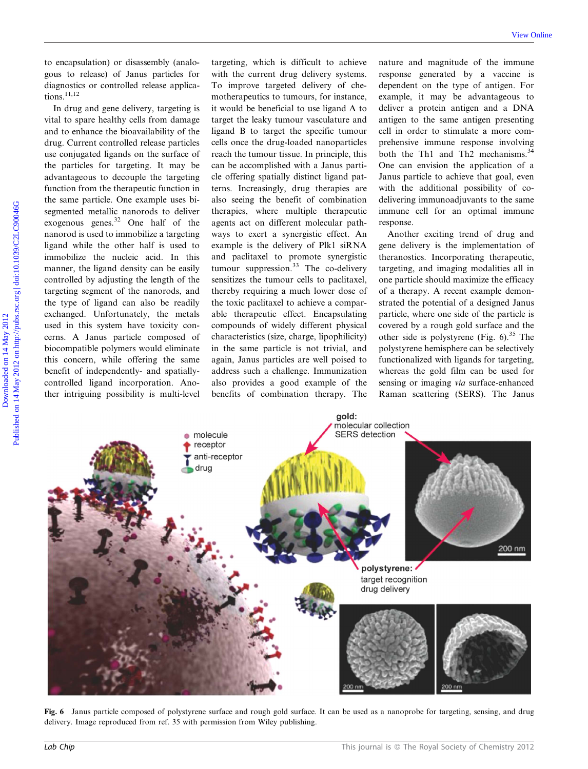to encapsulation) or disassembly (analogous to release) of Janus particles for diagnostics or controlled release applications.<sup>11,12</sup>

In drug and gene delivery, targeting is vital to spare healthy cells from damage and to enhance the bioavailability of the drug. Current controlled release particles use conjugated ligands on the surface of the particles for targeting. It may be advantageous to decouple the targeting function from the therapeutic function in the same particle. One example uses bisegmented metallic nanorods to deliver exogenous genes.<sup>32</sup> One half of the nanorod is used to immobilize a targeting ligand while the other half is used to immobilize the nucleic acid. In this manner, the ligand density can be easily controlled by adjusting the length of the targeting segment of the nanorods, and the type of ligand can also be readily exchanged. Unfortunately, the metals used in this system have toxicity concerns. A Janus particle composed of biocompatible polymers would eliminate this concern, while offering the same benefit of independently- and spatiallycontrolled ligand incorporation. Another intriguing possibility is multi-level

targeting, which is difficult to achieve with the current drug delivery systems. To improve targeted delivery of chemotherapeutics to tumours, for instance, it would be beneficial to use ligand A to target the leaky tumour vasculature and ligand B to target the specific tumour cells once the drug-loaded nanoparticles reach the tumour tissue. In principle, this can be accomplished with a Janus particle offering spatially distinct ligand patterns. Increasingly, drug therapies are also seeing the benefit of combination therapies, where multiple therapeutic agents act on different molecular pathways to exert a synergistic effect. An example is the delivery of Plk1 siRNA and paclitaxel to promote synergistic tumour suppression. $33$  The co-delivery sensitizes the tumour cells to paclitaxel, thereby requiring a much lower dose of the toxic paclitaxel to achieve a comparable therapeutic effect. Encapsulating compounds of widely different physical characteristics (size, charge, lipophilicity) in the same particle is not trivial, and again, Janus particles are well poised to address such a challenge. Immunization also provides a good example of the benefits of combination therapy. The The encorpolation) or disaserably (analo-<br>
argenting, which is difficult to achieve nature and magnitude of the average space of the<br>
disaserable of Amay particle denter with the current drug delivery of check<br>
disaserable

nature and magnitude of the immune response generated by a vaccine is dependent on the type of antigen. For example, it may be advantageous to deliver a protein antigen and a DNA antigen to the same antigen presenting cell in order to stimulate a more comprehensive immune response involving both the Th1 and Th2 mechanisms.<sup>3</sup> One can envision the application of a Janus particle to achieve that goal, even with the additional possibility of codelivering immunoadjuvants to the same immune cell for an optimal immune response.

Another exciting trend of drug and gene delivery is the implementation of theranostics. Incorporating therapeutic, targeting, and imaging modalities all in one particle should maximize the efficacy of a therapy. A recent example demonstrated the potential of a designed Janus particle, where one side of the particle is covered by a rough gold surface and the other side is polystyrene (Fig.  $6$ ).<sup>35</sup> The polystyrene hemisphere can be selectively functionalized with ligands for targeting, whereas the gold film can be used for sensing or imaging via surface-enhanced Raman scattering (SERS). The Janus



Fig. 6 Janus particle composed of polystyrene surface and rough gold surface. It can be used as a nanoprobe for targeting, sensing, and drug delivery. Image reproduced from ref. 35 with permission from Wiley publishing.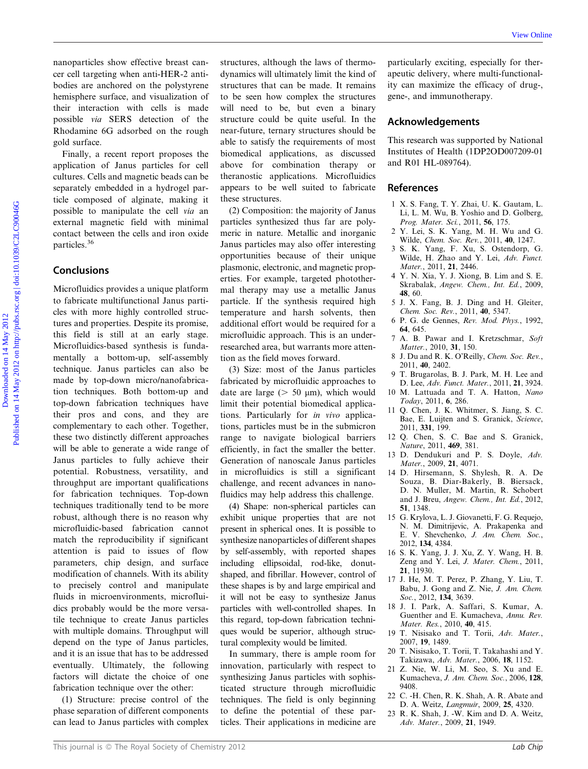nanoparticles show effective breast cancer cell targeting when anti-HER-2 antibodies are anchored on the polystyrene hemisphere surface, and visualization of their interaction with cells is made possible via SERS detection of the Rhodamine 6G adsorbed on the rough gold surface.

Finally, a recent report proposes the application of Janus particles for cell cultures. Cells and magnetic beads can be separately embedded in a hydrogel particle composed of alginate, making it possible to manipulate the cell via an external magnetic field with minimal contact between the cells and iron oxide particles.<sup>36</sup>

### **Conclusions**

Microfluidics provides a unique platform to fabricate multifunctional Janus particles with more highly controlled structures and properties. Despite its promise, this field is still at an early stage. Microfluidics-based synthesis is fundamentally a bottom-up, self-assembly technique. Janus particles can also be made by top-down micro/nanofabrication techniques. Both bottom-up and top-down fabrication techniques have their pros and cons, and they are complementary to each other. Together, these two distinctly different approaches will be able to generate a wide range of Janus particles to fully achieve their potential. Robustness, versatility, and throughput are important qualifications for fabrication techniques. Top-down techniques traditionally tend to be more robust, although there is no reason why microfluidic-based fabrication cannot match the reproducibility if significant attention is paid to issues of flow parameters, chip design, and surface modification of channels. With its ability to precisely control and manipulate fluids in microenvironments, microfluidics probably would be the more versatile technique to create Janus particles with multiple domains. Throughput will depend on the type of Janus particles, and it is an issue that has to be addressed eventually. Ultimately, the following factors will dictate the choice of one fabrication technique over the other: Downloaded show effective breads can-<br>extrementes although the laws of thermo-<br>pure liveral controlls can-<br>controlls and can-<br>be seen that all dimands hand. It can also also the small can-<br>be seen that the controlls are c

(1) Structure: precise control of the phase separation of different components can lead to Janus particles with complex

structures, although the laws of thermodynamics will ultimately limit the kind of structures that can be made. It remains to be seen how complex the structures will need to be, but even a binary structure could be quite useful. In the near-future, ternary structures should be able to satisfy the requirements of most biomedical applications, as discussed above for combination therapy or theranostic applications. Microfluidics appears to be well suited to fabricate these structures.

(2) Composition: the majority of Janus particles synthesized thus far are polymeric in nature. Metallic and inorganic Janus particles may also offer interesting opportunities because of their unique plasmonic, electronic, and magnetic properties. For example, targeted photothermal therapy may use a metallic Janus particle. If the synthesis required high temperature and harsh solvents, then additional effort would be required for a microfluidic approach. This is an underresearched area, but warrants more attention as the field moves forward.

(3) Size: most of the Janus particles fabricated by microfluidic approaches to date are large ( $> 50 \mu m$ ), which would limit their potential biomedical applications. Particularly for in vivo applications, particles must be in the submicron range to navigate biological barriers efficiently, in fact the smaller the better. Generation of nanoscale Janus particles in microfluidics is still a significant challenge, and recent advances in nanofluidics may help address this challenge.

(4) Shape: non-spherical particles can exhibit unique properties that are not present in spherical ones. It is possible to synthesize nanoparticles of different shapes by self-assembly, with reported shapes including ellipsoidal, rod-like, donutshaped, and fibrillar. However, control of these shapes is by and large empirical and it will not be easy to synthesize Janus particles with well-controlled shapes. In this regard, top-down fabrication techniques would be superior, although structural complexity would be limited.

In summary, there is ample room for innovation, particularly with respect to synthesizing Janus particles with sophisticated structure through microfluidic techniques. The field is only beginning to define the potential of these particles. Their applications in medicine are particularly exciting, especially for therapeutic delivery, where multi-functionality can maximize the efficacy of drug-, gene-, and immunotherapy.

#### Acknowledgements

This research was supported by National Institutes of Health (1DP2OD007209-01 and R01 HL-089764).

#### References

- 1 X. S. Fang, T. Y. Zhai, U. K. Gautam, L. Li, L. M. Wu, B. Yoshio and D. Golberg, Prog. Mater. Sci., 2011, 56, 175.
- 2 Y. Lei, S. K. Yang, M. H. Wu and G. Wilde, Chem. Soc. Rev., 2011, 40, 1247.
- 3 S. K. Yang, F. Xu, S. Ostendorp, G. Wilde, H. Zhao and Y. Lei, Adv. Funct. Mater., 2011, 21, 2446.
- 4 Y. N. Xia, Y. J. Xiong, B. Lim and S. E. Skrabalak, Angew. Chem., Int. Ed., 2009, 48, 60.
- 5 J. X. Fang, B. J. Ding and H. Gleiter, Chem. Soc. Rev., 2011, 40, 5347.
- 6 P. G. de Gennes, Rev. Mod. Phys., 1992, 64, 645.
- 7 A. B. Pawar and I. Kretzschmar, Soft Matter., 2010, 31, 150.
- 8 J. Du and R. K. O'Reilly, Chem. Soc. Rev., 2011, 40, 2402.
- 9 T. Brugarolas, B. J. Park, M. H. Lee and D. Lee, Adv. Funct. Mater., 2011, 21, 3924.
- 10 M. Lattuada and T. A. Hatton, Nano Today, 2011, 6, 286.
- 11 Q. Chen, J. K. Whitmer, S. Jiang, S. C. Bae, E. Luijten and S. Granick, Science, 2011, 331, 199.
- 12 Q. Chen, S. C. Bae and S. Granick, Nature, 2011, 469, 381.
- 13 D. Dendukuri and P. S. Doyle, Adv. Mater., 2009, 21, 4071.
- 14 D. Hirsemann, S. Shylesh, R. A. De Souza, B. Diar-Bakerly, B. Biersack, D. N. Muller, M. Martin, R. Schobert and J. Breu, Angew. Chem., Int. Ed., 2012, 51, 1348.
- 15 G. Krylova, L. J. Giovanetti, F. G. Requejo, N. M. Dimitrijevic, A. Prakapenka and E. V. Shevchenko, J. Am. Chem. Soc., 2012, 134, 4384.
- 16 S. K. Yang, J. J. Xu, Z. Y. Wang, H. B. Zeng and Y. Lei, J. Mater. Chem., 2011, 21, 11930.
- 17 J. He, M. T. Perez, P. Zhang, Y. Liu, T. Babu, J. Gong and Z. Nie, J. Am. Chem. Soc., 2012, 134, 3639.
- 18 J. I. Park, A. Saffari, S. Kumar, A. Guenther and E. Kumacheva, Annu. Rev. Mater. Res., 2010, 40, 415.
- 19 T. Nisisako and T. Torii, Adv. Mater., 2007, 19, 1489.
- 20 T. Nisisako, T. Torii, T. Takahashi and Y. Takizawa, Adv. Mater., 2006, 18, 1152.
- 21 Z. Nie, W. Li, M. Seo, S. Xu and E. Kumacheva, J. Am. Chem. Soc., 2006, 128, 9408.
- 22 C. -H. Chen, R. K. Shah, A. R. Abate and D. A. Weitz, Langmuir, 2009, 25, 4320.
- 23 R. K. Shah, J. -W. Kim and D. A. Weitz, Adv. Mater., 2009, 21, 1949.